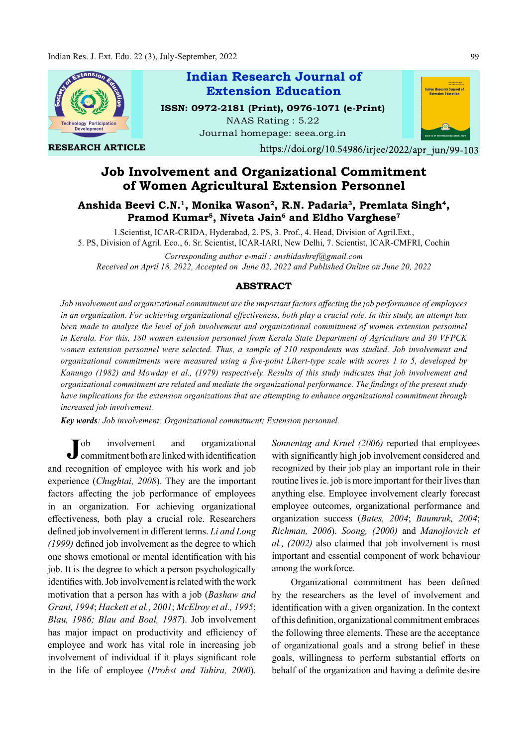

RESEARCH ARTICLE

# Indian Research Journal of ISSN: 0972-2181 (Print), 0976-1071 (e-Print) Extension Education

NAAS Rating : 5.22 Journal homepage: seea.org.in



https://doi.org/10.54986/irjee/2022/apr\_jun/99-103

## Job Involvement and Organizational Commitment of Women Agricultural Extension Personnel

### Anshida Beevi C.N.<sup>1</sup>, Monika Wason<sup>2</sup>, R.N. Padaria<sup>3</sup>, Premlata Singh<sup>4</sup>,<br>Pramod Kumar<sup>5</sup>, Niveta Jain<sup>6</sup> and Eldho Varghese<sup>7</sup> , Niveta Jain $^6$  and Eldho Varghese $^7$

1.Scientist, ICAR-CRIDA, Hyderabad, 2. PS, 3. Prof., 4. Head, Division of Agril.Ext., 5. PS, Division of Agril. Eco., 6. Sr. Scientist, ICAR-IARI, New Delhi, 7. Scientist, ICAR-CMFRI, Cochin Corresponding author e-mail : anshidashref@gmail.com

Received on April 18, 2022, Accepted on June 02, 2022 and Published Online on June 20, 2022

#### ABSTRACT

Job involvement and organizational commitment are the important factors affecting the job performance of employees in an organization. For achieving organizational effectiveness, both play a crucial role. In this study, an attempt has been made to analyze the level of job involvement and organizational commitment of women extension personnel in Kerala. For this, 180 women extension personnel from Kerala State Department of Agriculture and 30 VFPCK women extension personnel were selected. Thus, a sample of 210 respondents was studied. Job involvement and organizational commitments were measured using a five-point Likert-type scale with scores  $l$  to 5, developed by Kanungo (1982) and Mowday et al., (1979) respectively. Results of this study indicates that job involvement and organizational commitment are related and mediate the organizational performance. The findings of the present study have implications for the extension organizations that are attempting to enhance organizational commitment through increased job involvement.

Key words: Job involvement; Organizational commitment; Extension personnel.

Job involvement and organizational Sonnentag and<br>commitment both are linked with identification with significan and recognition of employee with his work and job experience (Chughtai, 2008). They are the important factors affecting the job performance of employees in an organization. For achieving organizational effectiveness, both play a crucial role. Researchers defined job involvement in different terms. Li and Long  $(1999)$  defined job involvement as the degree to which one shows emotional or mental identification with his job. It is the degree to which a person psychologically identifies with. Job involvement is related with the work motivation that a person has with a job (Bashaw and Grant, 1994; Hackett et al., 2001; McElroy et al., 1995; Blau, 1986; Blau and Boal, 1987). Job involvement has major impact on productivity and efficiency of employee and work has vital role in increasing job involvement of individual if it plays significant role in the life of employee (Probst and Tahira, 2000).

ob involvement and organizational Sonnentag and Kruel (2006) reported that employees with significantly high job involvement considered and recognized by their job play an important role in their routine lives ie. job is more important for their lives than anything else. Employee involvement clearly forecast employee outcomes, organizational performance and organization success (Bates, 2004; Baumruk, 2004; Richman, 2006). Soong, (2000) and Manojlovich et al., (2002) also claimed that job involvement is most important and essential component of work behaviour among the workforce.

> Organizational commitment has been defined by the researchers as the level of involvement and identification with a given organization. In the context of this definition, organizational commitment embraces the following three elements. These are the acceptance of organizational goals and a strong belief in these goals, willingness to perform substantial efforts on behalf of the organization and having a definite desire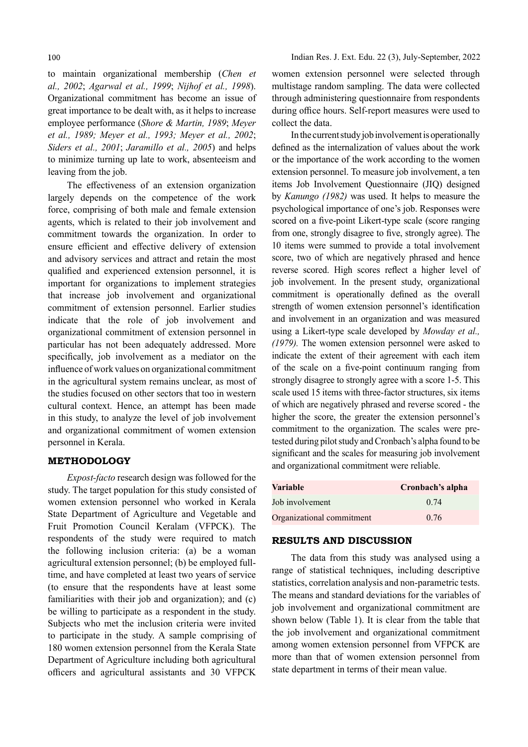to maintain organizational membership (Chen et al., 2002; Agarwal et al., 1999; Nijhof et al., 1998). Organizational commitment has become an issue of great importance to be dealt with, as it helps to increase employee performance (Shore & Martin, 1989; Meyer et al., 1989; Meyer et al., 1993; Meyer et al., 2002; Siders et al., 2001; Jaramillo et al., 2005) and helps to minimize turning up late to work, absenteeism and leaving from the job.

The effectiveness of an extension organization largely depends on the competence of the work force, comprising of both male and female extension agents, which is related to their job involvement and commitment towards the organization. In order to ensure efficient and effective delivery of extension and advisory services and attract and retain the most qualified and experienced extension personnel, it is important for organizations to implement strategies that increase job involvement and organizational commitment of extension personnel. Earlier studies indicate that the role of job involvement and organizational commitment of extension personnel in particular has not been adequately addressed. More specifically, job involvement as a mediator on the influence of work values on organizational commitment in the agricultural system remains unclear, as most of the studies focused on other sectors that too in western cultural context. Hence, an attempt has been made in this study, to analyze the level of job involvement and organizational commitment of women extension personnel in Kerala.

#### METHODOLOGY

Expost-facto research design was followed for the study. The target population for this study consisted of women extension personnel who worked in Kerala State Department of Agriculture and Vegetable and Fruit Promotion Council Keralam (VFPCK). The respondents of the study were required to match the following inclusion criteria: (a) be a woman agricultural extension personnel; (b) be employed fulltime, and have completed at least two years of service (to ensure that the respondents have at least some familiarities with their job and organization); and (c) be willing to participate as a respondent in the study. Subjects who met the inclusion criteria were invited to participate in the study. A sample comprising of 180 women extension personnel from the Kerala State Department of Agriculture including both agricultural officers and agricultural assistants and 30 VFPCK

women extension personnel were selected through multistage random sampling. The data were collected through administering questionnaire from respondents during office hours. Self-report measures were used to collect the data.

In the current study job involvement is operationally defined as the internalization of values about the work or the importance of the work according to the women extension personnel. To measure job involvement, a ten items Job Involvement Questionnaire (JIQ) designed by Kanungo (1982) was used. It helps to measure the psychological importance of one's job. Responses were scored on a five-point Likert-type scale (score ranging from one, strongly disagree to five, strongly agree). The 10 items were summed to provide a total involvement score, two of which are negatively phrased and hence reverse scored. High scores reflect a higher level of job involvement. In the present study, organizational commitment is operationally defined as the overall strength of women extension personnel's identification and involvement in an organization and was measured using a Likert-type scale developed by Mowday et al., (1979). The women extension personnel were asked to indicate the extent of their agreement with each item of the scale on a five-point continuum ranging from strongly disagree to strongly agree with a score 1-5. This scale used 15 items with three-factor structures, six items of which are negatively phrased and reverse scored - the higher the score, the greater the extension personnel's commitment to the organization. The scales were pretested during pilot study and Cronbach's alpha found to be significant and the scales for measuring job involvement and organizational commitment were reliable.

| Variable                  | Cronbach's alpha |
|---------------------------|------------------|
| Job involvement           | 0.74             |
| Organizational commitment | 0.76             |

#### RESULTS AND DISCUSSION

The data from this study was analysed using a range of statistical techniques, including descriptive statistics, correlation analysis and non-parametric tests. The means and standard deviations for the variables of job involvement and organizational commitment are shown below (Table 1). It is clear from the table that the job involvement and organizational commitment among women extension personnel from VFPCK are more than that of women extension personnel from state department in terms of their mean value.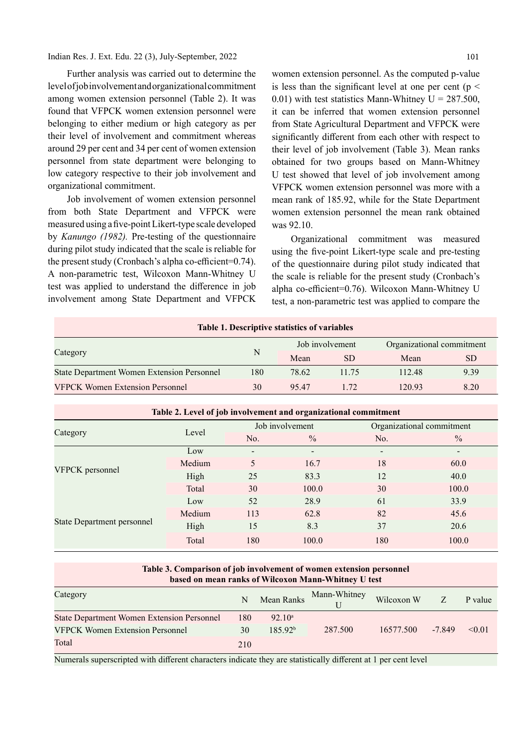Indian Res. J. Ext. Edu. 22 (3), July-September, 2022

101

Further analysis was carried out to determine the level of job involvement and organizational commitment among women extension personnel (Table 2). It was found that VFPCK women extension personnel were belonging to either medium or high category as per their level of involvement and commitment whereas around 29 per cent and 34 per cent of women extension personnel from state department were belonging to low category respective to their job involvement and organizational commitment.

Job involvement of women extension personnel from both State Department and VFPCK were measured using a five-point Likert-type scale developed by Kanungo (1982). Pre-testing of the questionnaire Organizational during pilot study indicated that the scale is reliable for the present study (Cronbach's alpha co-efficient=0.74). A non-parametric test, Wilcoxon Mann-Whitney U test was applied to understand the difference in job involvement among State Department and VFPCK

women extension personnel. As the computed p-value is less than the significant level at one per cent ( $p \le$ 0.01) with test statistics Mann-Whitney  $U = 287.500$ , it can be inferred that women extension personnel from State Agricultural Department and VFPCK were significantly different from each other with respect to their level of job involvement (Table 3). Mean ranks obtained for two groups based on Mann-Whitney U test showed that level of job involvement among VFPCK women extension personnel was more with a mean rank of 185.92, while for the State Department women extension personnel the mean rank obtained was 92.10.

commitment was measured using the five-point Likert-type scale and pre-testing of the questionnaire during pilot study indicated that the scale is reliable for the present study (Cronbach's alpha co-efficient=0.76). Wilcoxon Mann-Whitney U test, a non-parametric test was applied to compare the

| <b>Table 1. Descriptive statistics of variables</b> |     |                 |       |                           |           |  |
|-----------------------------------------------------|-----|-----------------|-------|---------------------------|-----------|--|
|                                                     | N   | Job involvement |       | Organizational commitment |           |  |
| Category                                            |     | Mean            | SD.   | Mean                      | <b>SD</b> |  |
| <b>State Department Women Extension Personnel</b>   | 180 | 78.62           | 11.75 | 112.48                    | 9.39      |  |
| <b>VFPCK Women Extension Personnel</b>              | 30  | 95.47           | 1.72  | 120.93                    | 8.20      |  |

| Table 2. Level of job involvement and organizational commitment |        |                 |                          |                           |               |  |
|-----------------------------------------------------------------|--------|-----------------|--------------------------|---------------------------|---------------|--|
| Category                                                        | Level  |                 | Job involvement          | Organizational commitment |               |  |
|                                                                 |        | No.             | $\frac{0}{0}$            | No.                       | $\frac{0}{0}$ |  |
| VFPCK personnel                                                 | Low    | $\qquad \qquad$ | $\overline{\phantom{0}}$ | -                         |               |  |
|                                                                 | Medium | 5               | 16.7                     | 18                        | 60.0          |  |
|                                                                 | High   | 25              | 83.3                     | 12                        | 40.0          |  |
|                                                                 | Total  | 30              | 100.0                    | 30                        | 100.0         |  |
| State Department personnel                                      | Low    | 52              | 28.9                     | 61                        | 33.9          |  |
|                                                                 | Medium | 113             | 62.8                     | 82                        | 45.6          |  |
|                                                                 | High   | 15              | 8.3                      | 37                        | 20.6          |  |
|                                                                 | Total  | 180             | 100.0                    | 180                       | 100.0         |  |

#### Table 3. Comparison of job involvement of women extension personnel based on mean ranks of Wilcoxon Mann-Whitney U test

| Category                                          | N   | Mean Ranks          | Mann-Whitney | Wilcoxon W | Z        | P value |
|---------------------------------------------------|-----|---------------------|--------------|------------|----------|---------|
| <b>State Department Women Extension Personnel</b> | 180 | $92.10^a$           |              |            |          |         |
| <b>VFPCK Women Extension Personnel</b>            | 30  | 185.92 <sup>b</sup> | 287.500      | 16577.500  | $-7.849$ | < 0.01  |
| Total                                             | 210 |                     |              |            |          |         |

Numerals superscripted with different characters indicate they are statistically different at 1 per cent level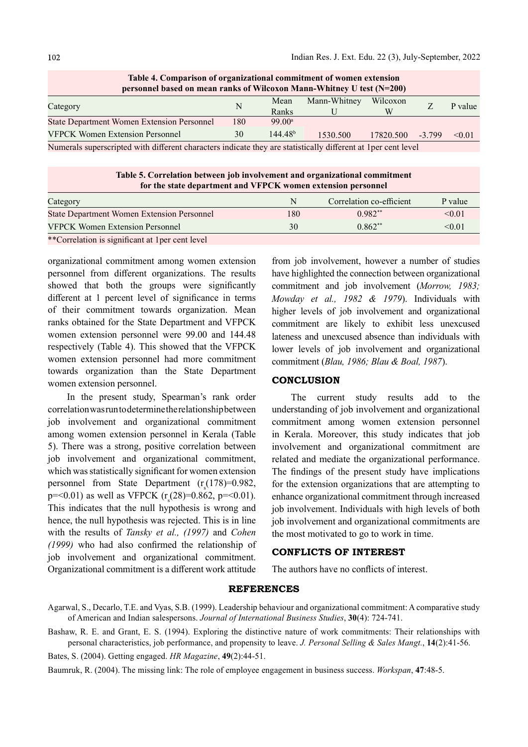| Table 4. Comparison of organizational commitment of women extension   |     |                     |              |           |          |         |  |
|-----------------------------------------------------------------------|-----|---------------------|--------------|-----------|----------|---------|--|
| personnel based on mean ranks of Wilcoxon Mann-Whitney U test (N=200) |     |                     |              |           |          |         |  |
|                                                                       | N   | Mean                | Mann-Whitney | Wilcoxon  |          | P value |  |
| Category                                                              |     | Ranks               |              | W         |          |         |  |
| <b>State Department Women Extension Personnel</b>                     | 180 | 99.00 <sup>a</sup>  |              |           |          |         |  |
| <b>VFPCK Women Extension Personnel</b>                                | 30  | 144.48 <sup>b</sup> | 1530.500     | 17820.500 | $-3.799$ | < 0.01  |  |
|                                                                       |     |                     |              |           |          |         |  |

Table 4. Comparison of organizational commitment of women extension

Numerals superscripted with different characters indicate they are statistically different at 1per cent level

Table 5. Correlation between job involvement and organizational commitment for the state department and VFPCK women extension personnel

| Category                                          | N   | Correlation co-efficient | P value |
|---------------------------------------------------|-----|--------------------------|---------|
| <b>State Department Women Extension Personnel</b> | 180 | $0.982**$                | < 0.01  |
| <b>VFPCK Women Extension Personnel</b>            | 30  | $0.862**$                | < 0.01  |
| **Correlation is significant at 1 per cent level  |     |                          |         |

organizational commitment among women extension personnel from different organizations. The results showed that both the groups were significantly different at 1 percent level of significance in terms of their commitment towards organization. Mean ranks obtained for the State Department and VFPCK women extension personnel were 99.00 and 144.48 respectively (Table 4). This showed that the VFPCK women extension personnel had more commitment towards organization than the State Department women extension personnel.

In the present study, Spearman's rank order correlation was run to determine the relationship between job involvement and organizational commitment among women extension personnel in Kerala (Table 5). There was a strong, positive correlation between which was statistically significant for women extension personnel from State Department (r (178)=0.982,  $p = 0.01$ ) as well as VFPCK  $(r_s(28) = 0.862, p = 0.01)$ . enhance organi This indicates that the null hypothesis is wrong and hence, the null hypothesis was rejected. This is in line with the results of Tansky et al., (1997) and Cohen  $(1999)$  who had also confirmed the relationship of job involvement and organizational commitment. Organizational commitment is a different work attitude

from job involvement, however a number of studies have highlighted the connection between organizational commitment and job involvement (Morrow, 1983; Mowday et al., 1982 & 1979). Individuals with higher levels of job involvement and organizational commitment are likely to exhibit less unexcused lateness and unexcused absence than individuals with lower levels of job involvement and organizational commitment (Blau, 1986; Blau & Boal, 1987).

#### **CONCLUSION**

job involvement and organizational commitment, related and mediate the organizational performance.  $s_s(178)=0.982$ , for the extension organizations that are attempting to The current study results add to the understanding of job involvement and organizational commitment among women extension personnel in Kerala. Moreover, this study indicates that job involvement and organizational commitment are The findings of the present study have implications. enhance organizational commitment through increased job involvement. Individuals with high levels of both job involvement and organizational commitments are the most motivated to go to work in time.

#### CONFLICTS OF INTEREST

The authors have no conflicts of interest.

#### REFERENCES

Baumruk, R. (2004). The missing link: The role of employee engagement in business success. Workspan, 47:48-5.

Agarwal, S., Decarlo, T.E. and Vyas, S.B. (1999). Leadership behaviour and organizational commitment: A comparative study of American and Indian salespersons. Journal of International Business Studies, 30(4): 724-741.

Bashaw, R. E. and Grant, E. S. (1994). Exploring the distinctive nature of work commitments: Their relationships with personal characteristics, job performance, and propensity to leave. J. Personal Selling & Sales Mangt., 14(2):41-56.

Bates, S. (2004). Getting engaged. HR Magazine, 49(2):44-51.